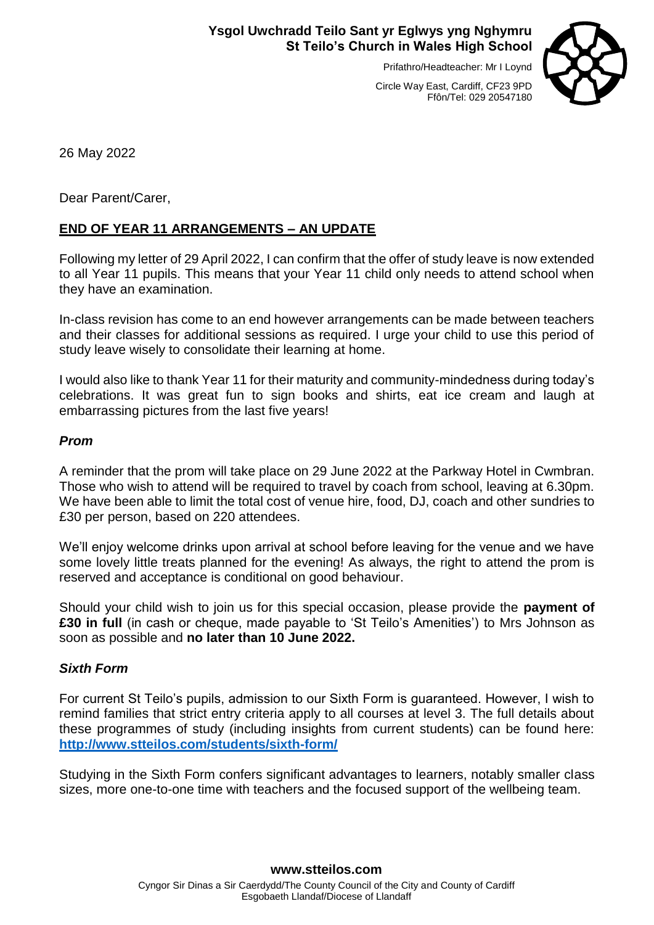## **Ysgol Uwchradd Teilo Sant yr Eglwys yng Nghymru St Teilo's Church in Wales High School**

Prifathro/Headteacher: Mr I Loynd



Circle Way East, Cardiff, CF23 9PD Ffôn/Tel: 029 20547180

26 May 2022

Dear Parent/Carer,

## **END OF YEAR 11 ARRANGEMENTS – AN UPDATE**

Following my letter of 29 April 2022, I can confirm that the offer of study leave is now extended to all Year 11 pupils. This means that your Year 11 child only needs to attend school when they have an examination.

In-class revision has come to an end however arrangements can be made between teachers and their classes for additional sessions as required. I urge your child to use this period of study leave wisely to consolidate their learning at home.

I would also like to thank Year 11 for their maturity and community-mindedness during today's celebrations. It was great fun to sign books and shirts, eat ice cream and laugh at embarrassing pictures from the last five years!

## *Prom*

A reminder that the prom will take place on 29 June 2022 at the Parkway Hotel in Cwmbran. Those who wish to attend will be required to travel by coach from school, leaving at 6.30pm. We have been able to limit the total cost of venue hire, food, DJ, coach and other sundries to £30 per person, based on 220 attendees.

We'll enjoy welcome drinks upon arrival at school before leaving for the venue and we have some lovely little treats planned for the evening! As always, the right to attend the prom is reserved and acceptance is conditional on good behaviour.

Should your child wish to join us for this special occasion, please provide the **payment of £30 in full** (in cash or cheque, made payable to 'St Teilo's Amenities') to Mrs Johnson as soon as possible and **no later than 10 June 2022.** 

## *Sixth Form*

For current St Teilo's pupils, admission to our Sixth Form is guaranteed. However, I wish to remind families that strict entry criteria apply to all courses at level 3. The full details about these programmes of study (including insights from current students) can be found here: **<http://www.stteilos.com/students/sixth-form/>**

Studying in the Sixth Form confers significant advantages to learners, notably smaller class sizes, more one-to-one time with teachers and the focused support of the wellbeing team.